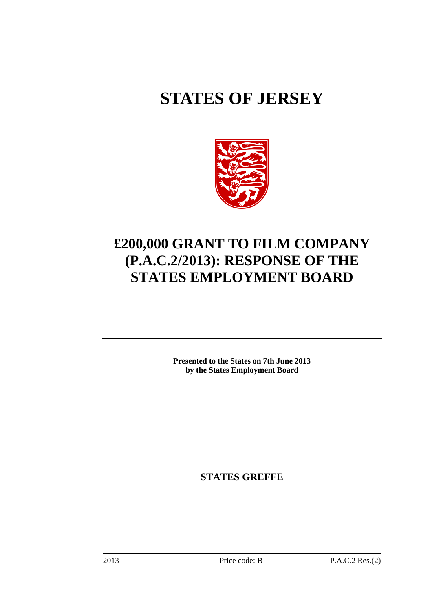# **STATES OF JERSEY**



# **£200,000 GRANT TO FILM COMPANY (P.A.C.2/2013): RESPONSE OF THE STATES EMPLOYMENT BOARD**

**Presented to the States on 7th June 2013 by the States Employment Board** 

**STATES GREFFE**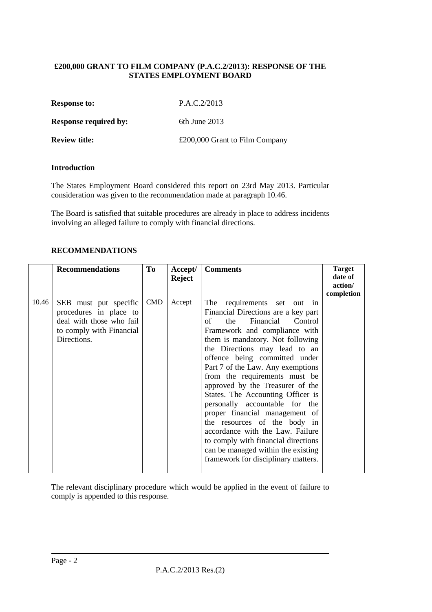#### **£200,000 GRANT TO FILM COMPANY (P.A.C.2/2013): RESPONSE OF THE STATES EMPLOYMENT BOARD**

| <b>Response to:</b> | P.A.C.2/2013 |
|---------------------|--------------|
|                     |              |

**Response required by:** 6th June 2013

| £200,000 Grant to Film Company<br><b>Review title:</b> |
|--------------------------------------------------------|
|--------------------------------------------------------|

#### **Introduction**

The States Employment Board considered this report on 23rd May 2013. Particular consideration was given to the recommendation made at paragraph 10.46.

The Board is satisfied that suitable procedures are already in place to address incidents involving an alleged failure to comply with financial directions.

#### **RECOMMENDATIONS**

|       | <b>Recommendations</b>   | To         | Accept/       | <b>Comments</b>                     | <b>Target</b> |
|-------|--------------------------|------------|---------------|-------------------------------------|---------------|
|       |                          |            | <b>Reject</b> |                                     | date of       |
|       |                          |            |               |                                     | action/       |
|       |                          |            |               |                                     | completion    |
| 10.46 | SEB must put specific    | <b>CMD</b> | Accept        | The<br>requirements set<br>out in   |               |
|       | procedures in place to   |            |               | Financial Directions are a key part |               |
|       | deal with those who fail |            |               | Financial<br>Control<br>of<br>the   |               |
|       | to comply with Financial |            |               | Framework and compliance with       |               |
|       | Directions.              |            |               | them is mandatory. Not following    |               |
|       |                          |            |               | the Directions may lead to an       |               |
|       |                          |            |               | offence being committed under       |               |
|       |                          |            |               | Part 7 of the Law. Any exemptions   |               |
|       |                          |            |               | from the requirements must be       |               |
|       |                          |            |               | approved by the Treasurer of the    |               |
|       |                          |            |               | States. The Accounting Officer is   |               |
|       |                          |            |               | personally accountable for the      |               |
|       |                          |            |               | proper financial management of      |               |
|       |                          |            |               | the resources of the body in        |               |
|       |                          |            |               | accordance with the Law. Failure    |               |
|       |                          |            |               | to comply with financial directions |               |
|       |                          |            |               | can be managed within the existing  |               |
|       |                          |            |               | framework for disciplinary matters. |               |
|       |                          |            |               |                                     |               |

The relevant disciplinary procedure which would be applied in the event of failure to comply is appended to this response.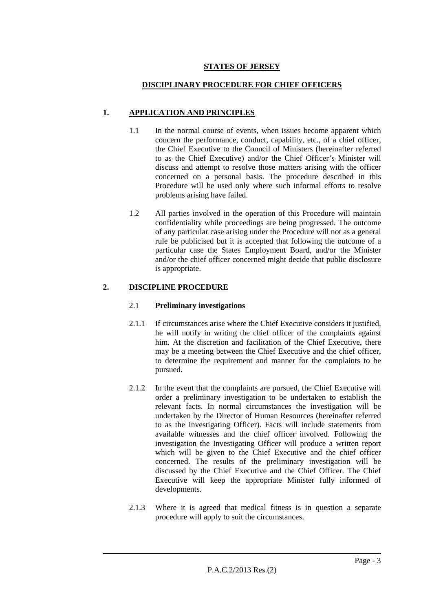# **STATES OF JERSEY**

# **DISCIPLINARY PROCEDURE FOR CHIEF OFFICERS**

# **1. APPLICATION AND PRINCIPLES**

- 1.1 In the normal course of events, when issues become apparent which concern the performance, conduct, capability, etc., of a chief officer, the Chief Executive to the Council of Ministers (hereinafter referred to as the Chief Executive) and/or the Chief Officer's Minister will discuss and attempt to resolve those matters arising with the officer concerned on a personal basis. The procedure described in this Procedure will be used only where such informal efforts to resolve problems arising have failed.
- 1.2 All parties involved in the operation of this Procedure will maintain confidentiality while proceedings are being progressed. The outcome of any particular case arising under the Procedure will not as a general rule be publicised but it is accepted that following the outcome of a particular case the States Employment Board, and/or the Minister and/or the chief officer concerned might decide that public disclosure is appropriate.

# **2. DISCIPLINE PROCEDURE**

# 2.1 **Preliminary investigations**

- 2.1.1 If circumstances arise where the Chief Executive considers it justified, he will notify in writing the chief officer of the complaints against him. At the discretion and facilitation of the Chief Executive, there may be a meeting between the Chief Executive and the chief officer, to determine the requirement and manner for the complaints to be pursued.
- 2.1.2 In the event that the complaints are pursued, the Chief Executive will order a preliminary investigation to be undertaken to establish the relevant facts. In normal circumstances the investigation will be undertaken by the Director of Human Resources (hereinafter referred to as the Investigating Officer). Facts will include statements from available witnesses and the chief officer involved. Following the investigation the Investigating Officer will produce a written report which will be given to the Chief Executive and the chief officer concerned. The results of the preliminary investigation will be discussed by the Chief Executive and the Chief Officer. The Chief Executive will keep the appropriate Minister fully informed of developments.
- 2.1.3 Where it is agreed that medical fitness is in question a separate procedure will apply to suit the circumstances.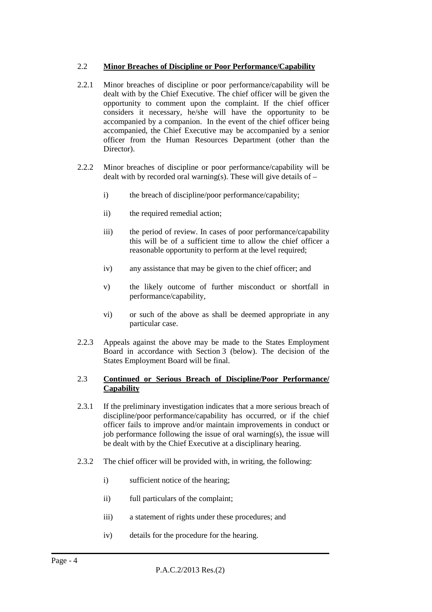#### 2.2 **Minor Breaches of Discipline or Poor Performance/Capability**

- 2.2.1 Minor breaches of discipline or poor performance/capability will be dealt with by the Chief Executive. The chief officer will be given the opportunity to comment upon the complaint. If the chief officer considers it necessary, he/she will have the opportunity to be accompanied by a companion. In the event of the chief officer being accompanied, the Chief Executive may be accompanied by a senior officer from the Human Resources Department (other than the Director).
- 2.2.2 Minor breaches of discipline or poor performance/capability will be dealt with by recorded oral warning(s). These will give details of  $$ 
	- i) the breach of discipline/poor performance/capability;
	- ii) the required remedial action;
	- iii) the period of review. In cases of poor performance/capability this will be of a sufficient time to allow the chief officer a reasonable opportunity to perform at the level required;
	- iv) any assistance that may be given to the chief officer; and
	- v) the likely outcome of further misconduct or shortfall in performance/capability,
	- vi) or such of the above as shall be deemed appropriate in any particular case.
- 2.2.3 Appeals against the above may be made to the States Employment Board in accordance with Section 3 (below). The decision of the States Employment Board will be final.

#### 2.3 **Continued or Serious Breach of Discipline/Poor Performance/ Capability**

- 2.3.1 If the preliminary investigation indicates that a more serious breach of discipline/poor performance/capability has occurred, or if the chief officer fails to improve and/or maintain improvements in conduct or job performance following the issue of oral warning(s), the issue will be dealt with by the Chief Executive at a disciplinary hearing.
- 2.3.2 The chief officer will be provided with, in writing, the following:
	- i) sufficient notice of the hearing;
	- ii) full particulars of the complaint;
	- iii) a statement of rights under these procedures; and
	- iv) details for the procedure for the hearing.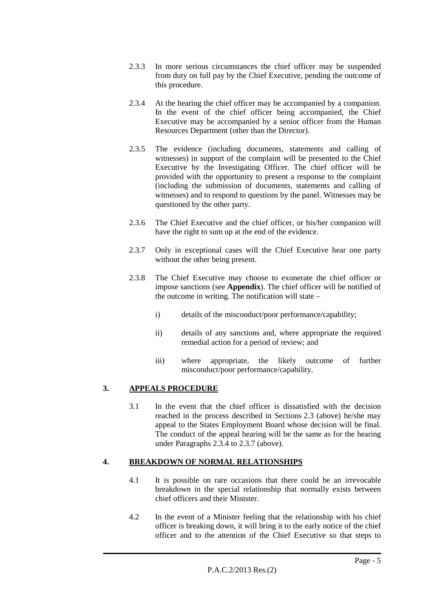- 2.3.3 In more serious circumstances the chief officer may be suspended from duty on full pay by the Chief Executive, pending the outcome of this procedure.
- 2.3.4 At the hearing the chief officer may be accompanied by a companion. In the event of the chief officer being accompanied, the Chief Executive may be accompanied by a senior officer from the Human Resources Department (other than the Director).
- 2.3.5 The evidence (including documents, statements and calling of witnesses) in support of the complaint will be presented to the Chief Executive by the Investigating Officer. The chief officer will be provided with the opportunity to present a response to the complaint (including the submission of documents, statements and calling of witnesses) and to respond to questions by the panel. Witnesses may be questioned by the other party.
- 2.3.6 The Chief Executive and the chief officer, or his/her companion will have the right to sum up at the end of the evidence.
- 2.3.7 Only in exceptional cases will the Chief Executive hear one party without the other being present.
- 2.3.8 The Chief Executive may choose to exonerate the chief officer or impose sanctions (see **Appendix**). The chief officer will be notified of the outcome in writing. The notification will state –
	- i) details of the misconduct/poor performance/capability;
	- ii) details of any sanctions and, where appropriate the required remedial action for a period of review; and
	- iii) where appropriate, the likely outcome of further misconduct/poor performance/capability.

# **3. APPEALS PROCEDURE**

3.1 In the event that the chief officer is dissatisfied with the decision reached in the process described in Sections 2.3 (above) he/she may appeal to the States Employment Board whose decision will be final. The conduct of the appeal hearing will be the same as for the hearing under Paragraphs 2.3.4 to 2.3.7 (above).

# **4. BREAKDOWN OF NORMAL RELATIONSHIPS**

- 4.1 It is possible on rare occasions that there could be an irrevocable breakdown in the special relationship that normally exists between chief officers and their Minister.
- 4.2 In the event of a Minister feeling that the relationship with his chief officer is breaking down, it will bring it to the early notice of the chief officer and to the attention of the Chief Executive so that steps to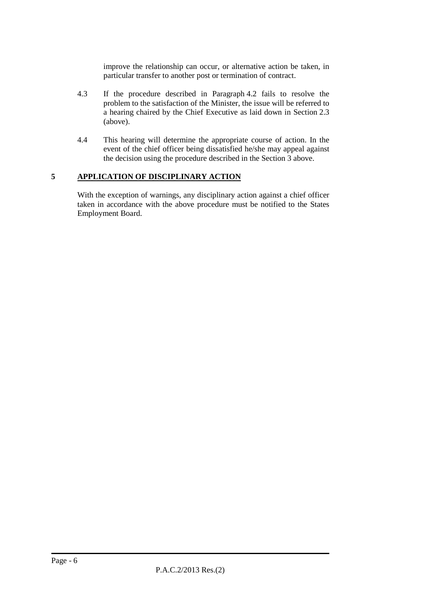improve the relationship can occur, or alternative action be taken, in particular transfer to another post or termination of contract.

- 4.3 If the procedure described in Paragraph 4.2 fails to resolve the problem to the satisfaction of the Minister, the issue will be referred to a hearing chaired by the Chief Executive as laid down in Section 2.3 (above).
- 4.4 This hearing will determine the appropriate course of action. In the event of the chief officer being dissatisfied he/she may appeal against the decision using the procedure described in the Section 3 above.

#### **5 APPLICATION OF DISCIPLINARY ACTION**

With the exception of warnings, any disciplinary action against a chief officer taken in accordance with the above procedure must be notified to the States Employment Board.